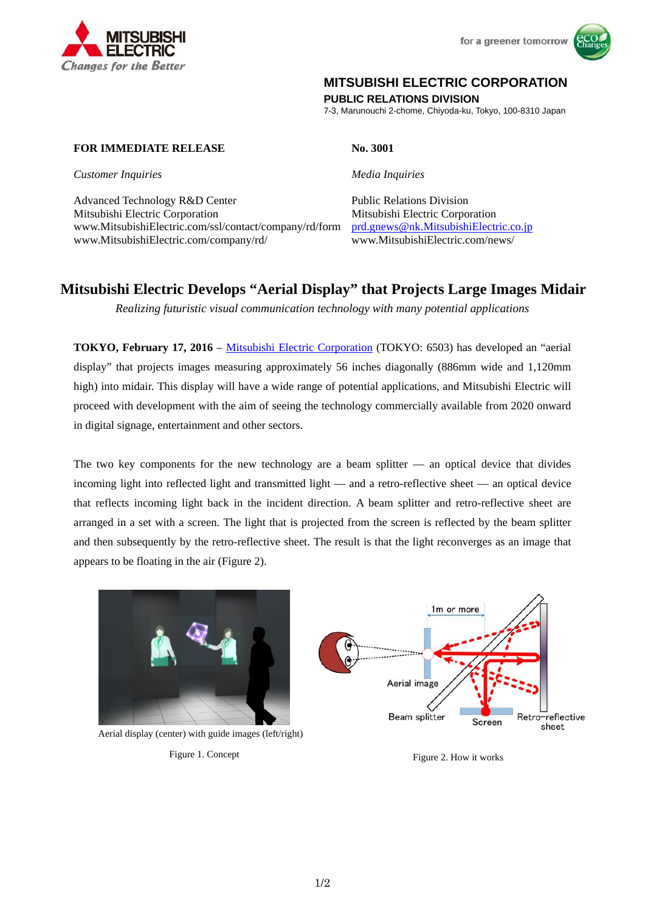



## **MITSUBISHI ELECTRIC CORPORATION**

**PUBLIC RELATIONS DIVISION** 

7-3, Marunouchi 2-chome, Chiyoda-ku, Tokyo, 100-8310 Japan

## **FOR IMMEDIATE RELEASE** No. 3001

*Customer Inquiries Media Inquiries*

Advanced Technology R&D Center Public Relations Division Mitsubishi Electric Corporation Mitsubishi Electric Corporation www.MitsubishiElectric.com/ssl/contact/company/rd/form prd.gnews@nk.MitsubishiElectric.co.jp www.MitsubishiElectric.com/company/rd/ www.MitsubishiElectric.com/news/

# **Mitsubishi Electric Develops "Aerial Display" that Projects Large Images Midair**

*Realizing futuristic visual communication technology with many potential applications*

**TOKYO, February 17, 2016** – Mitsubishi Electric Corporation (TOKYO: 6503) has developed an "aerial display" that projects images measuring approximately 56 inches diagonally (886mm wide and 1,120mm high) into midair. This display will have a wide range of potential applications, and Mitsubishi Electric will proceed with development with the aim of seeing the technology commercially available from 2020 onward in digital signage, entertainment and other sectors.

The two key components for the new technology are a beam splitter — an optical device that divides incoming light into reflected light and transmitted light — and a retro-reflective sheet — an optical device that reflects incoming light back in the incident direction. A beam splitter and retro-reflective sheet are arranged in a set with a screen. The light that is projected from the screen is reflected by the beam splitter and then subsequently by the retro-reflective sheet. The result is that the light reconverges as an image that appears to be floating in the air (Figure 2).



Figure 1. Concept Figure 2. How it works